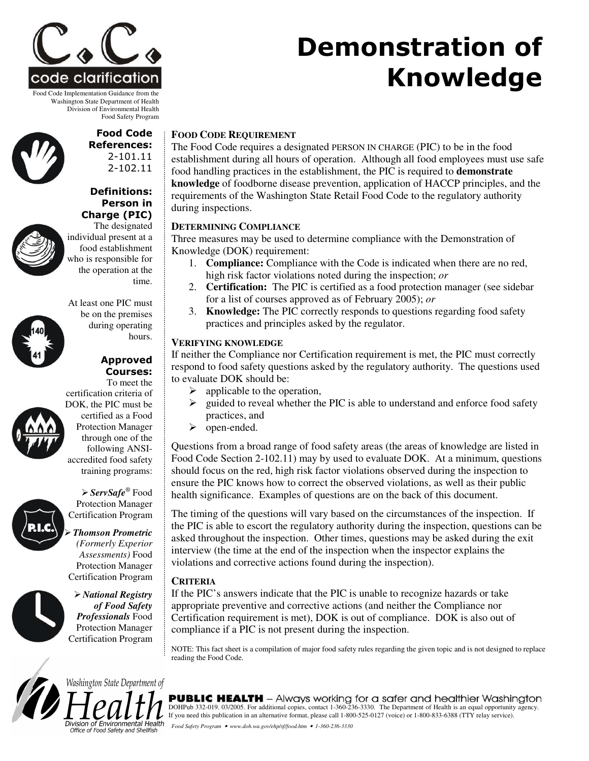

Food Code Implementation Guidance from the Washington State Department of Health Division of Environmental Health Food Safety Program

#### Food Code **References:**  $2 - 101.11$ 2-102.11

Definitions: Person in Charge (PIC)



The designated individual present at a food establishment who is responsible for the operation at the time.

At least one PIC must be on the premises during operating hours.

#### Approved Courses: To meet the



certification criteria of DOK, the PIC must be certified as a Food Protection Manager through one of the following ANSIaccredited food safety training programs:

*ServSafe ®* Food Protection Manager Certification Program

*Thomson Prometric (Formerly Experior Assessments)* Food Protection Manager Certification Program

*National Registry of Food Safety Professionals* Food Protection Manager Certification Program

# **FOOD CODE REQUIREMENT**

The Food Code requires a designated PERSON IN CHARGE (PIC) to be in the food establishment during all hours of operation. Although all food employees must use safe food handling practices in the establishment, the PIC is required to **demonstrate knowledge** of foodborne disease prevention, application of HACCP principles, and the requirements of the Washington State Retail Food Code to the regulatory authority during inspections.

**Demonstration of** 

**Knowledge** 

## **DETERMINING COMPLIANCE**

Three measures may be used to determine compliance with the Demonstration of Knowledge (DOK) requirement:

- 1. **Compliance:** Compliance with the Code is indicated when there are no red, high risk factor violations noted during the inspection; *or*
- 2. **Certification:** The PIC is certified as a food protection manager (see sidebar for a list of courses approved as of February 2005); *or*
- 3. **Knowledge:** The PIC correctly responds to questions regarding food safety practices and principles asked by the regulator.

### **VERIFYING KNOWLEDGE**

If neither the Compliance nor Certification requirement is met, the PIC must correctly respond to food safety questions asked by the regulatory authority. The questions used to evaluate DOK should be:

- $\triangleright$  applicable to the operation,
- guided to reveal whether the PIC is able to understand and enforce food safety practices, and
- > open-ended.

Questions from a broad range of food safety areas (the areas of knowledge are listed in Food Code Section 2-102.11) may by used to evaluate DOK. At a minimum, questions should focus on the red, high risk factor violations observed during the inspection to ensure the PIC knows how to correct the observed violations, as well as their public health significance. Examples of questions are on the back of this document.

The timing of the questions will vary based on the circumstances of the inspection. If the PIC is able to escort the regulatory authority during the inspection, questions can be asked throughout the inspection. Other times, questions may be asked during the exit interview (the time at the end of the inspection when the inspector explains the violations and corrective actions found during the inspection).

#### **CRITERIA**

If the PIC's answers indicate that the PIC is unable to recognize hazards or take appropriate preventive and corrective actions (and neither the Compliance nor Certification requirement is met), DOK is out of compliance. DOK is also out of compliance if a PIC is not present during the inspection.

NOTE: This fact sheet is a compilation of major food safety rules regarding the given topic and is not designed to replace reading the Food Code.



Washington State Department of Division of Environmental Health

Office of Food Safety and Shellfish

**PUBLIC HEALTH** - Always working for a safer and healthier Washington DOHPub 332-019. 03/2005. For additional copies, contact 1-360-236-3330. The Department of Health is an equal opportunity agency. If you need this publication in an alternative format, please call 1-800-525-0127 (voice) or 1-800-833-6388 (TTY relay service). *Food Safety Program* • *www.doh.wa.gov/ehp/sf/food.htm* • *1-360-236-3330*